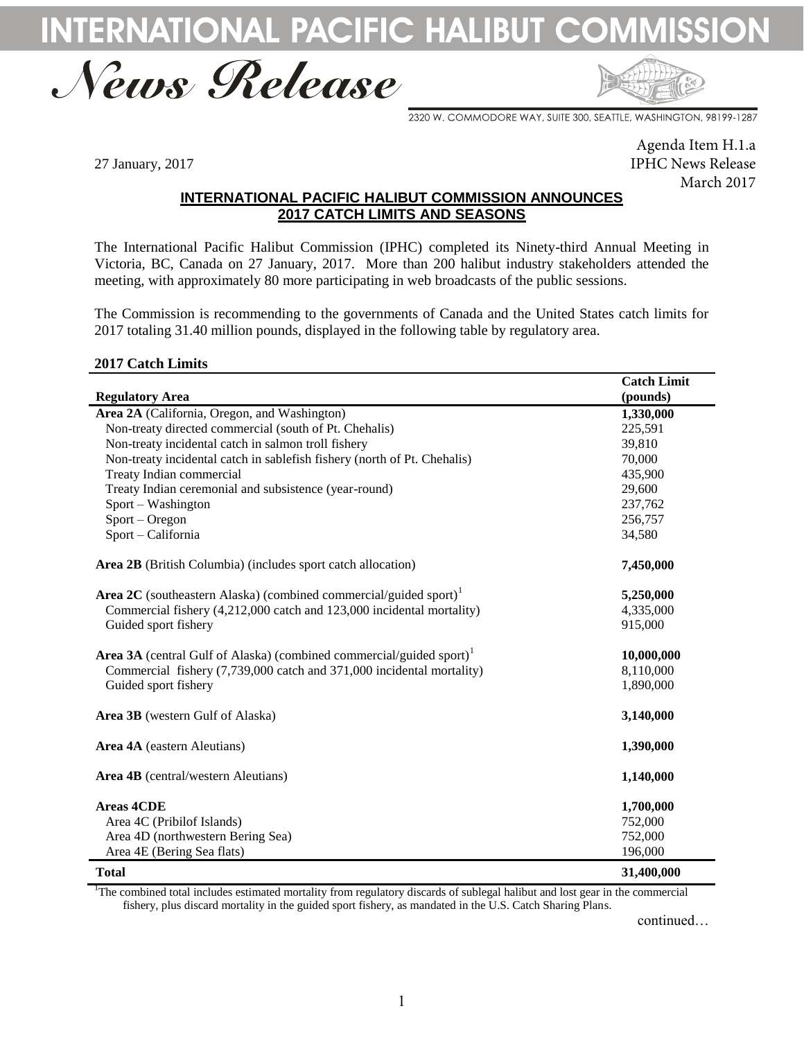INTERNATIONAL PACIFIC HALIB





2320 W. COMMODORE WAY, SUITE 300, SEATTLE, WASHINGTON, 98199-1287

Agenda Item H.1.a IPHC News Release March 2017

## **INTERNATIONAL PACIFIC HALIBUT COMMISSION ANNOUNCES 2017 CATCH LIMITS AND SEASONS**

The International Pacific Halibut Commission (IPHC) completed its Ninety-third Annual Meeting in Victoria, BC, Canada on 27 January, 2017. More than 200 halibut industry stakeholders attended the meeting, with approximately 80 more participating in web broadcasts of the public sessions.

The Commission is recommending to the governments of Canada and the United States catch limits for 2017 totaling 31.40 million pounds, displayed in the following table by regulatory area.

## **2017 Catch Limits**

27 January, 2017

|                                                                                         | <b>Catch Limit</b> |
|-----------------------------------------------------------------------------------------|--------------------|
| <b>Regulatory Area</b>                                                                  | (pounds)           |
| Area 2A (California, Oregon, and Washington)                                            | 1,330,000          |
| Non-treaty directed commercial (south of Pt. Chehalis)                                  | 225,591            |
| Non-treaty incidental catch in salmon troll fishery                                     | 39,810             |
| Non-treaty incidental catch in sablefish fishery (north of Pt. Chehalis)                | 70,000             |
| Treaty Indian commercial                                                                | 435,900            |
| Treaty Indian ceremonial and subsistence (year-round)                                   | 29,600             |
| Sport – Washington                                                                      | 237,762            |
| Sport - Oregon                                                                          | 256,757            |
| Sport - California                                                                      | 34,580             |
| Area 2B (British Columbia) (includes sport catch allocation)                            | 7,450,000          |
| <b>Area 2C</b> (southeastern Alaska) (combined commercial/guided sport) <sup>1</sup>    | 5,250,000          |
| Commercial fishery (4,212,000 catch and 123,000 incidental mortality)                   | 4,335,000          |
| Guided sport fishery                                                                    | 915,000            |
| <b>Area 3A</b> (central Gulf of Alaska) (combined commercial/guided sport) <sup>1</sup> | 10,000,000         |
| Commercial fishery (7,739,000 catch and 371,000 incidental mortality)                   | 8,110,000          |
| Guided sport fishery                                                                    | 1,890,000          |
| Area 3B (western Gulf of Alaska)                                                        | 3,140,000          |
| Area 4A (eastern Aleutians)                                                             | 1,390,000          |
| Area 4B (central/western Aleutians)                                                     | 1,140,000          |
| <b>Areas 4CDE</b>                                                                       | 1,700,000          |
| Area 4C (Pribilof Islands)                                                              | 752,000            |
| Area 4D (northwestern Bering Sea)                                                       | 752,000            |
| Area 4E (Bering Sea flats)                                                              | 196,000            |
| <b>Total</b>                                                                            | 31,400,000         |

<sup>1</sup>The combined total includes estimated mortality from regulatory discards of sublegal halibut and lost gear in the commercial fishery, plus discard mortality in the guided sport fishery, as mandated in the U.S. Catch Sharing Plans.

continued…